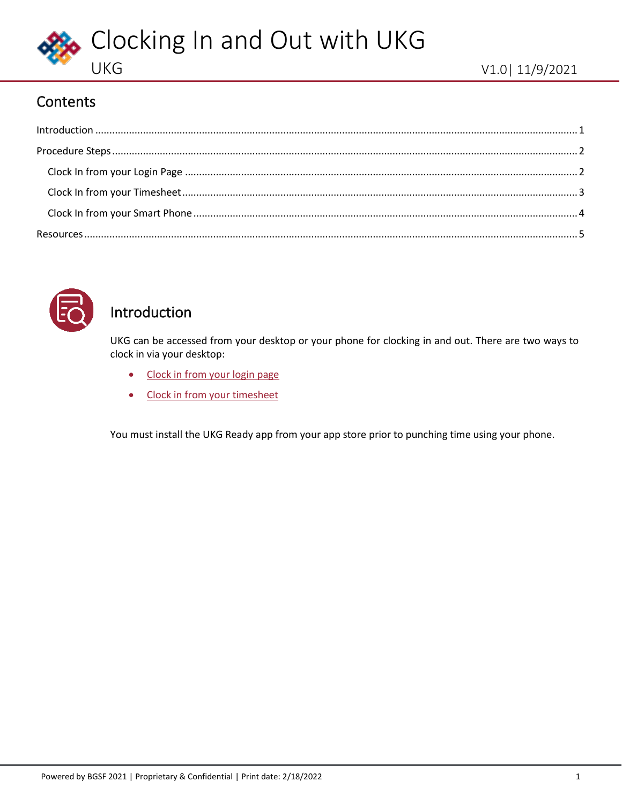

## **Contents**

<span id="page-0-1"></span>

| $\label{eq:1} \mbox{Introduction} \,\, \ldots \,\, \ldots \,\, \ldots \,\, \ldots \,\, \ldots \,\, \ldots \,\, \ldots \,\, \ldots \,\, \ldots \,\, \ldots \,\, \ldots \,\, \ldots \,\, \ldots \,\, \ldots \,\, \ldots \,\, \ldots \,\, \ldots \,\, \ldots \,\, \ldots \,\, \ldots \,\, \ldots \,\, \ldots \,\, \ldots \,\, \ldots \,\, \ldots \,\, \ldots \,\, \ldots \,\, \ldots \,\, \ldots \,\, \ldots \,\, \ldots \,\, \ldots \,\, \ldots \,\, \ldots \,\,$ |  |
|-----------------------------------------------------------------------------------------------------------------------------------------------------------------------------------------------------------------------------------------------------------------------------------------------------------------------------------------------------------------------------------------------------------------------------------------------------------------|--|
|                                                                                                                                                                                                                                                                                                                                                                                                                                                                 |  |
|                                                                                                                                                                                                                                                                                                                                                                                                                                                                 |  |
|                                                                                                                                                                                                                                                                                                                                                                                                                                                                 |  |
|                                                                                                                                                                                                                                                                                                                                                                                                                                                                 |  |
|                                                                                                                                                                                                                                                                                                                                                                                                                                                                 |  |



## <span id="page-0-0"></span>Introduction

UKG can be accessed from your desktop or your phone for clocking in and out. There are two ways to clock in via your desktop:

- [Clock in from your login page](#page-1-1)
- [Clock in from your timesheet](#page-2-0)

You must install the UKG Ready app from your app store prior to punching time using your phone.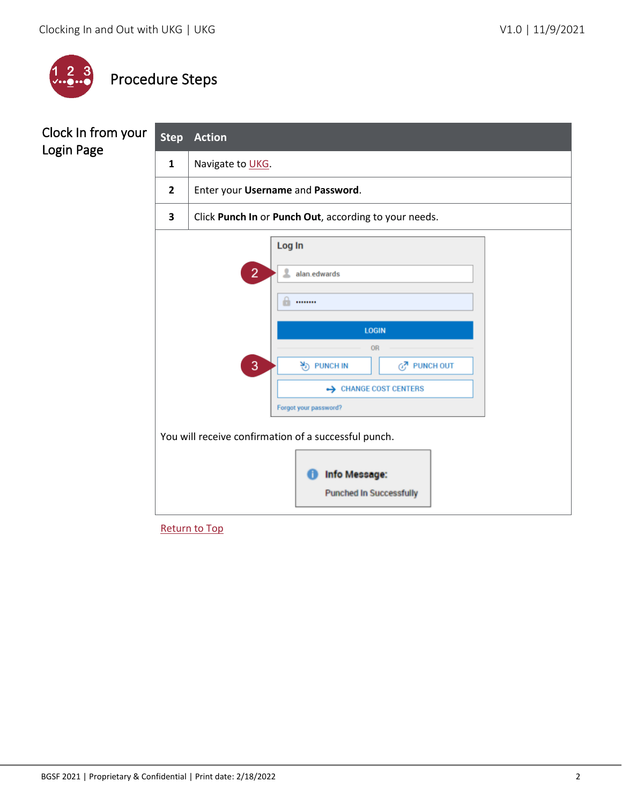

# <span id="page-1-0"></span>Procedure Steps

### <span id="page-1-1"></span>Clock In from your Login Page

| <b>Step</b>                                                                                                    | <b>Action</b>                                          |  |  |  |  |  |
|----------------------------------------------------------------------------------------------------------------|--------------------------------------------------------|--|--|--|--|--|
| $\mathbf{1}$                                                                                                   | Navigate to UKG.                                       |  |  |  |  |  |
| $\overline{2}$                                                                                                 | Enter your Username and Password.                      |  |  |  |  |  |
| 3                                                                                                              | Click Punch In or Punch Out, according to your needs.  |  |  |  |  |  |
|                                                                                                                | Log In<br>$\overline{2}$<br>2<br>alan.edwards<br>m<br> |  |  |  |  |  |
|                                                                                                                | <b>LOGIN</b>                                           |  |  |  |  |  |
| OR                                                                                                             |                                                        |  |  |  |  |  |
| 3<br>$\frac{N}{2}$ ) PUNCH IN<br>GZ PUNCH OUT                                                                  |                                                        |  |  |  |  |  |
| ← CHANGE COST CENTERS                                                                                          |                                                        |  |  |  |  |  |
| Forgot your password?                                                                                          |                                                        |  |  |  |  |  |
| You will receive confirmation of a successful punch.<br><b>Info Message:</b><br><b>Punched In Successfully</b> |                                                        |  |  |  |  |  |

[Return to Top](#page-0-1)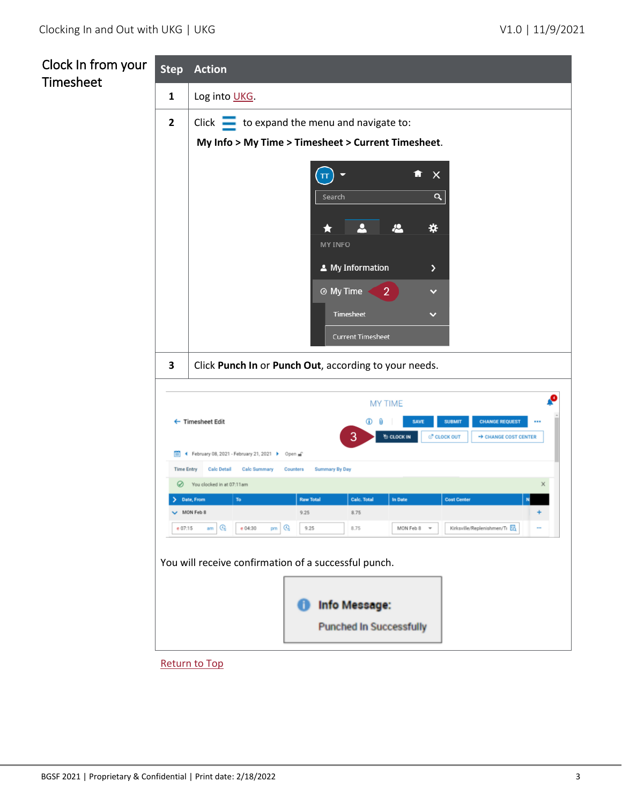<span id="page-2-0"></span>

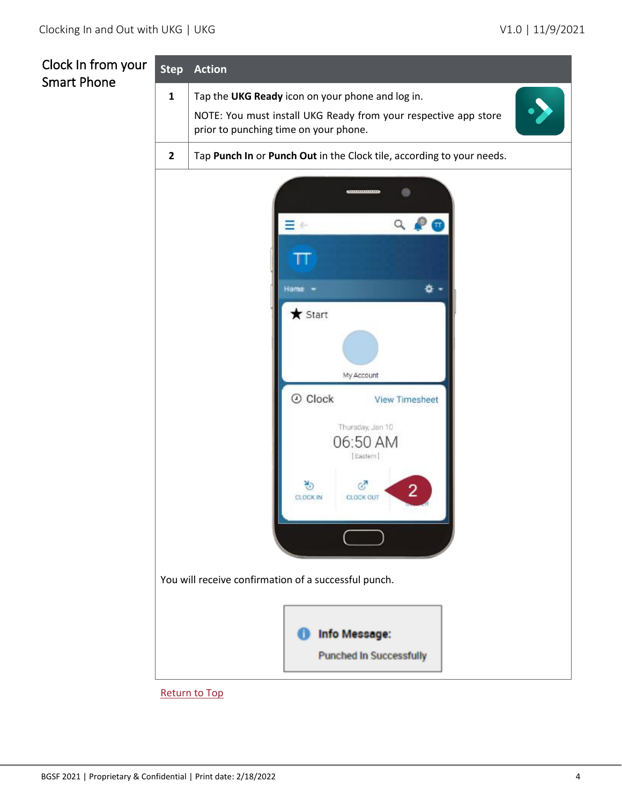# <span id="page-3-0"></span>Clock In from your Smart Phone

| <b>Step</b>                                          | <b>Action</b>                                                                                            |  |  |  |  |
|------------------------------------------------------|----------------------------------------------------------------------------------------------------------|--|--|--|--|
| $\mathbf{1}$                                         | Tap the UKG Ready icon on your phone and log in.                                                         |  |  |  |  |
|                                                      | NOTE: You must install UKG Ready from your respective app store<br>prior to punching time on your phone. |  |  |  |  |
| $\overline{2}$                                       | Tap Punch In or Punch Out in the Clock tile, according to your needs.                                    |  |  |  |  |
|                                                      | ------------                                                                                             |  |  |  |  |
|                                                      |                                                                                                          |  |  |  |  |
|                                                      |                                                                                                          |  |  |  |  |
|                                                      | Home<br>츣                                                                                                |  |  |  |  |
|                                                      | $\bigstar$ Start                                                                                         |  |  |  |  |
|                                                      |                                                                                                          |  |  |  |  |
|                                                      | My Account                                                                                               |  |  |  |  |
|                                                      | $\odot$ Clock<br><b>View Timesheet</b>                                                                   |  |  |  |  |
|                                                      | Thursday, Jan 10<br>06:50 AM<br>[Eastern]                                                                |  |  |  |  |
|                                                      | G7<br>رند<br>ا<br><b>CLOCK IN</b><br><b>GLOCK OUT</b>                                                    |  |  |  |  |
|                                                      |                                                                                                          |  |  |  |  |
| You will receive confirmation of a successful punch. |                                                                                                          |  |  |  |  |
|                                                      | <b>Info Message:</b><br><b>Punched In Successfully</b>                                                   |  |  |  |  |
|                                                      | <b>Return to Top</b>                                                                                     |  |  |  |  |